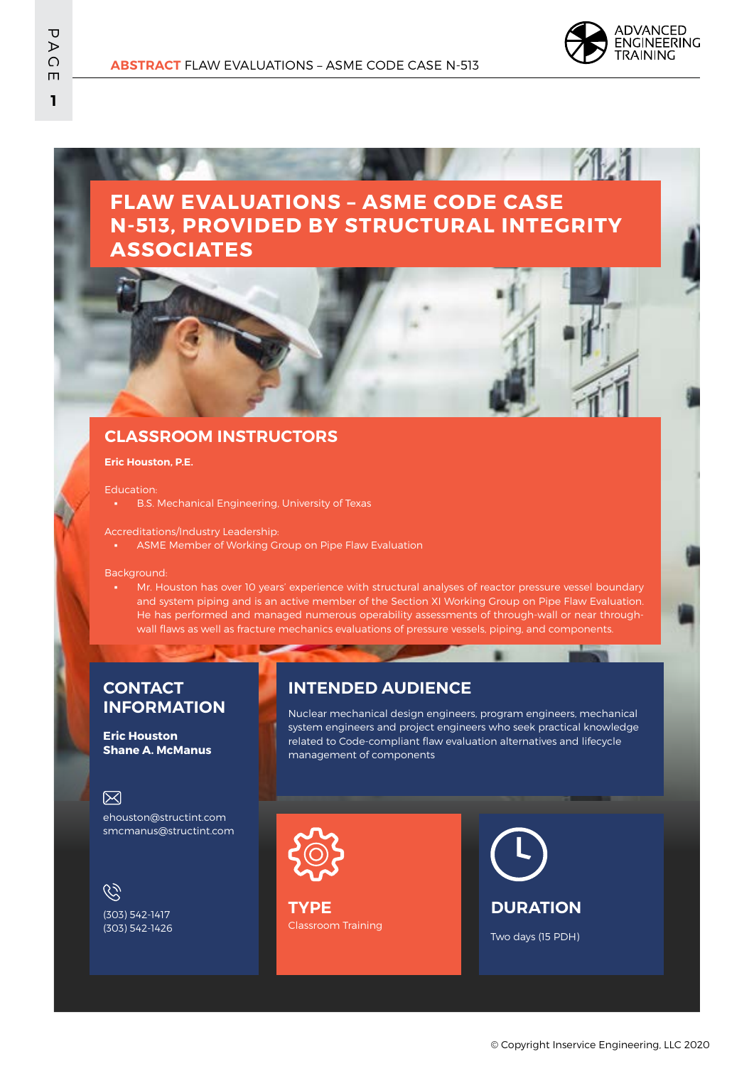

## **FLAW EVALUATIONS – ASME CODE CASE N-513, PROVIDED BY STRUCTURAL INTEGRITY ASSOCIATES**

#### **CLASSROOM INSTRUCTORS**

#### **Eric Houston, P.E.**

Education:

- **B.S. Mechanical Engineering, University of Texas**
- Accreditations/Industry Leadership:
- ASME Member of Working Group on Pipe Flaw Evaluation

Background:

Mr. Houston has over 10 years' experience with structural analyses of reactor pressure vessel boundary and system piping and is an active member of the Section XI Working Group on Pipe Flaw Evaluation. He has performed and managed numerous operability assessments of through-wall or near throughwall flaws as well as fracture mechanics evaluations of pressure vessels, piping, and components.

#### **CONTACT INFORMATION**

**Eric Houston Shane A. McManus**

#### 冈

ehouston@structint.com smcmanus@structint.com

 $\mathcal{C}$ (303) 542-1417 (303) 542-1426

### **INTENDED AUDIENCE**

Nuclear mechanical design engineers, program engineers, mechanical system engineers and project engineers who seek practical knowledge related to Code-compliant flaw evaluation alternatives and lifecycle management of components



Classroom Training **TYPE**

**DURATION**

Two days (15 PDH)